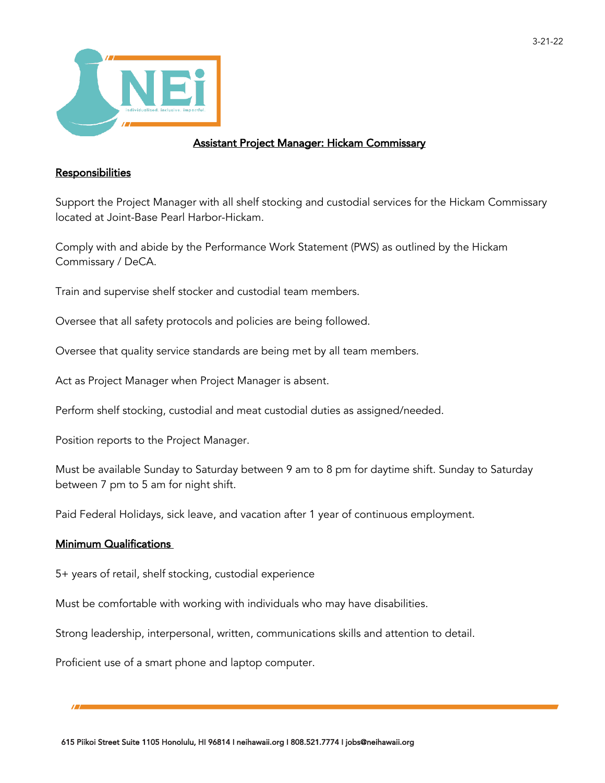

## Assistant Project Manager: Hickam Commissary

## **Responsibilities**

Support the Project Manager with all shelf stocking and custodial services for the Hickam Commissary located at Joint-Base Pearl Harbor-Hickam.

Comply with and abide by the Performance Work Statement (PWS) as outlined by the Hickam Commissary / DeCA.

Train and supervise shelf stocker and custodial team members.

Oversee that all safety protocols and policies are being followed.

Oversee that quality service standards are being met by all team members.

Act as Project Manager when Project Manager is absent.

Perform shelf stocking, custodial and meat custodial duties as assigned/needed.

Position reports to the Project Manager.

Must be available Sunday to Saturday between 9 am to 8 pm for daytime shift. Sunday to Saturday between 7 pm to 5 am for night shift.

Paid Federal Holidays, sick leave, and vacation after 1 year of continuous employment.

## Minimum Qualifications

5+ years of retail, shelf stocking, custodial experience

Must be comfortable with working with individuals who may have disabilities.

Strong leadership, interpersonal, written, communications skills and attention to detail.

Proficient use of a smart phone and laptop computer.